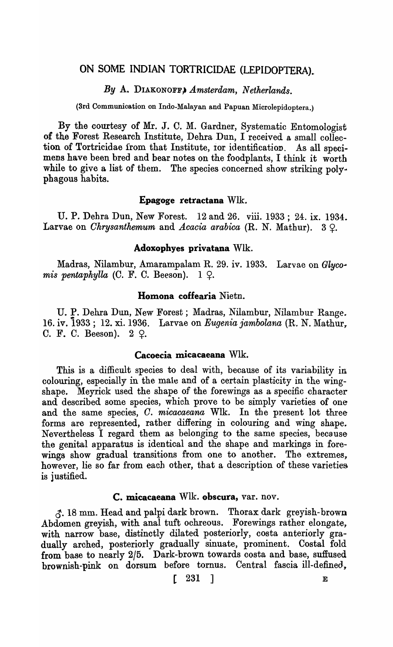## ON SOME INDIAN TORTRICIDAE (LEPIDOPTERA).

## By A. DIAKONOFF, *Amsterdam, Netherlands.*

(3rd Communication on Indo-Malayan and Papuan Microlepidoptera.)

By the courtesy of Mr. J. C. M. Gardner, Systematic Entomologist of the Forest Research Institute, Dehra Dun, I received a, small collection of Tortricidae from that Institute, tor identification. As all specimens have been bred and bear notes on the foodplants, I think it worth while to give a list of them. The species concerned show striking poly-<br>phagous habits.

### Epagoge retractana Wlk.

U. P. Dehra Dun, New Forest. 12 and 26. viii. 1933; 24. ix. 1934. Larvae on *Chrysanthemum* and *Acacia arabica* (R. N. Mathur). 3  $\Omega$ .

## Adoxophyes privatana WIle

Madras, Nilambur, Amarampalam R. 29. iv. 1933. Larvae on *Glycomis pentaphylla* (C. F. C. Beeson).  $1 \, \Omega$ .

## Homona coffearia Nietn.

U. P. Dehra Dun, New Forest; Madras, Nilambur, Nilambur Range. 16. iv. i933; 12. xi. 1936. Larvae on *Eugenia jambolana* (R. N. Mathur~ C. F. C. Beeson).  $2~\mathcal{Q}$ .

### Cacoecia micacaeana Wlk.

This is a difficult species to deal with, because of its variability in colouring, especially in the male and of a certain plasticity in the wingshape. Meyrick used the shape of the forewings as a specific character and described some species, which prove to be simply varieties of one and the same species, O. *micacaeana* Wlk. In the present lot three forms are represented, rather differing in colouring and wing shape. Nevertheless I regard them as belonging to the same species, because the genital apparatus is identical and the shape and markings in forewings show gradual transitions from one to another. The extremes, however, lie so far from each other, that a description of these varieties is justified.

## C. micacaeana Wlk. obscura, var. nov.

~. 18 mm. Head and palpi dark brown. Thorax dark greyish-brown Abdomen greyish, with anal tuft ochreous. Forewings rather elongate, with narrow base, distinctly dilated posteriorly, costa anteriorly gradually arched, posteriorly gradually sinuate, prominent. Costal fold from base to nearly 2/5. Dark-brown towards costa and base, suffused brownish-pink on dorsum before tornus. Central fascia ill-defined,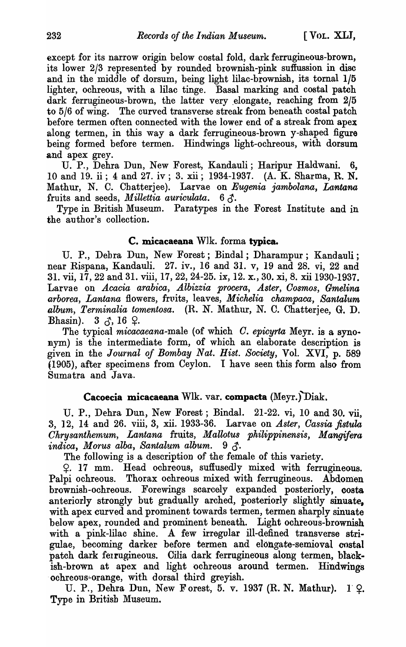except for its narrow origin below costal fold, dark ferrugineous-brown, its lower 2/3 represented by rounded brownish-pink suffussion in disc and in the middle of dorsum, being light lilac-brownish, its tornal 1/5 lighter, ochreous, with a lilac tinge. Basal marking and costal patch dark ferrugineous-brown, the latter very elongate, reaching from  $2/5$ to 5/6 of wing. The curved transverse streak from beneath costal patch before termen often connected with the lower end of a streak from apex along termen, in this way a dark ferrugineous-brown y-shaped figure being formed before termen. Hindwings light-ochreous, with dorsum and apex grey.

U. P., Dehra Dun, New Forest, Kandauli; Haripur Haldwani. 6, 10 and 19. ii; 4 and 27. iv; 3. xii; 1934-1937. (A. K. Sharma, R. N. Mathur, N. C. Chatterjee). Larvae on *Eugenia jambolana, Lantana*  fruits and seeds, *Millettia auriculata*.  $6 \delta$ .

Type in British Museum. Paratypes in the Forest Institute and in the author's collection.

## c. micacaeana W1k. forma typica.

U. P., Debra Dun, New Forest; Bindal; Dharampur; Kandauli; near Rispana, Kandauli. 27. iv., 16 and 31. v, 19 and 28. vi, 22 and 31. vii, 17, 22 and 31. viii, 17, 22, 24-25. ix, 12. x., 30. xi, 8. xii 1930-1937. Larvae on *Acacia arabica, A'lbizzia procera, Aster, Oosmos, Gmelina arborea, Lantana* flowers, fruits, leaves, *Michelia champaca, Santalum album, Terminalia tomentosa.* (R. N. Mathur, N. C. Chatterjee, G. D. Bhasin).  $3 \leq \ldots$ , 16  $\varphi$ .

The typical *micacaeana*-male (of which *C. epicyrta* Meyr. is a synonym) is the intermediate form, of which an elaborate description is given in the *Journal of Bombay Nat. Hist. Society,* Vol. XVI, p. 589 (1905), after specimens from Ceylon. I have seen this form also from Sumatra and Java.

## Cacoecia micacaeana Wlk. var. compacta (Meyr.)  $Diak$ .

U. P., Dehra Dun, New Forest; Bindal. 21-22. vi, 10 and 30. vii, 3, ] 2, 14 and 26. viii, 3, xii. 1933-36. Larvae on *Aster, Oassia fistula Chrysanthemum, Lantana* fruits, *Mallotus philippinensis, Mangi/era*  indica, Morus alba, Santalum album. 9 3.

The following is a description of the female of this variety.

~. 17 mm. Head ochreous, suffused1y mixed with ferrugineous. Palpi ochreous. Thorax ochreous mixed with ferrugineous. Abdomen brownish-ochreous. Forewings scarcely expanded posteriorly, oosta anteriorly strongly but gradually arched, posteriorly slightly sinuate, with apex curved and prominent towards termen, termen sharply sinuate below apex, rounded and prominent beneath. Light ochreous-brownish with a pink-lilac shine. A few irregular ill-defined transverse strigulae, becoming darker before termen and elongate--semioval costal patch dark feirugineous. Cilia dark ferrugineous along termen, blackish-btown at apex and light ochreous around termen. Hindwings 'ochreous~orange, with dorsal third greyish.

U. P., Dehra Dun, New Forest, 5. v. 1937 (R. N. Mathur).  $1 \Omega$ . Type in British Museum.